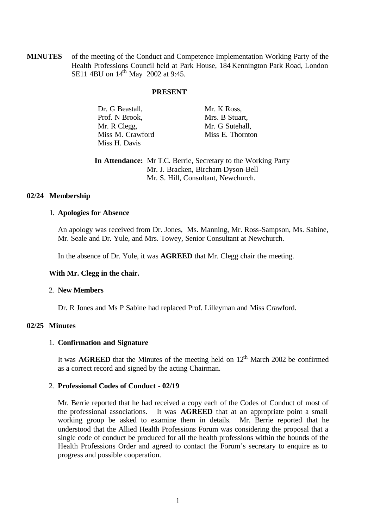**MINUTES** of the meeting of the Conduct and Competence Implementation Working Party of the Health Professions Council held at Park House, 184 Kennington Park Road, London SE11 4BU on 14<sup>th</sup> May 2002 at 9:45.

### **PRESENT**

| Dr. G Beastall,  | Mr. K Ross,      |
|------------------|------------------|
| Prof. N Brook,   | Mrs. B Stuart,   |
| Mr. R Clegg,     | Mr. G Sutehall,  |
| Miss M. Crawford | Miss E. Thornton |
| Miss H. Davis    |                  |

**In Attendance:** Mr T.C. Berrie, Secretary to the Working Party Mr. J. Bracken, Bircham-Dyson-Bell Mr. S. Hill, Consultant, Newchurch.

### **02/24 Membership**

### 1. **Apologies for Absence**

An apology was received from Dr. Jones, Ms. Manning, Mr. Ross-Sampson, Ms. Sabine, Mr. Seale and Dr. Yule, and Mrs. Towey, Senior Consultant at Newchurch.

In the absence of Dr. Yule, it was **AGREED** that Mr. Clegg chair the meeting.

# **With Mr. Clegg in the chair.**

#### 2. **New Members**

Dr. R Jones and Ms P Sabine had replaced Prof. Lilleyman and Miss Crawford.

# **02/25 Minutes**

### 1. **Confirmation and Signature**

It was **AGREED** that the Minutes of the meeting held on  $12<sup>th</sup>$  March 2002 be confirmed as a correct record and signed by the acting Chairman.

#### 2. **Professional Codes of Conduct - 02/19**

Mr. Berrie reported that he had received a copy each of the Codes of Conduct of most of the professional associations. It was **AGREED** that at an appropriate point a small working group be asked to examine them in details. Mr. Berrie reported that he understood that the Allied Health Professions Forum was considering the proposal that a single code of conduct be produced for all the health professions within the bounds of the Health Professions Order and agreed to contact the Forum's secretary to enquire as to progress and possible cooperation.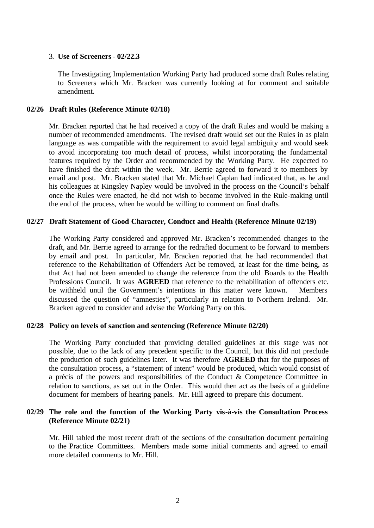## 3. **Use of Screeners - 02/22.3**

The Investigating Implementation Working Party had produced some draft Rules relating to Screeners which Mr. Bracken was currently looking at for comment and suitable amendment.

## **02/26 Draft Rules (Reference Minute 02/18)**

Mr. Bracken reported that he had received a copy of the draft Rules and would be making a number of recommended amendments. The revised draft would set out the Rules in as plain language as was compatible with the requirement to avoid legal ambiguity and would seek to avoid incorporating too much detail of process, whilst incorporating the fundamental features required by the Order and recommended by the Working Party. He expected to have finished the draft within the week. Mr. Berrie agreed to forward it to members by email and post. Mr. Bracken stated that Mr. Michael Caplan had indicated that, as he and his colleagues at Kingsley Napley would be involved in the process on the Council's behalf once the Rules were enacted, he did not wish to become involved in the Rule-making until the end of the process, when he would be willing to comment on final drafts.

### **02/27 Draft Statement of Good Character, Conduct and Health (Reference Minute 02/19)**

The Working Party considered and approved Mr. Bracken's recommended changes to the draft, and Mr. Berrie agreed to arrange for the redrafted document to be forward to members by email and post. In particular, Mr. Bracken reported that he had recommended that reference to the Rehabilitation of Offenders Act be removed, at least for the time being, as that Act had not been amended to change the reference from the old Boards to the Health Professions Council. It was **AGREED** that reference to the rehabilitation of offenders etc. be withheld until the Government's intentions in this matter were known. Members discussed the question of "amnesties", particularly in relation to Northern Ireland. Mr. Bracken agreed to consider and advise the Working Party on this.

# **02/28 Policy on levels of sanction and sentencing (Reference Minute 02/20)**

The Working Party concluded that providing detailed guidelines at this stage was not possible, due to the lack of any precedent specific to the Council, but this did not preclude the production of such guidelines later. It was therefore **AGREED** that for the purposes of the consultation process, a "statement of intent" would be produced, which would consist of a précis of the powers and responsibilities of the Conduct & Competence Committee in relation to sanctions, as set out in the Order. This would then act as the basis of a guideline document for members of hearing panels. Mr. Hill agreed to prepare this document.

# **02/29 The role and the function of the Working Party vis-à-vis the Consultation Process (Reference Minute 02/21)**

Mr. Hill tabled the most recent draft of the sections of the consultation document pertaining to the Practice Committees. Members made some initial comments and agreed to email more detailed comments to Mr. Hill.